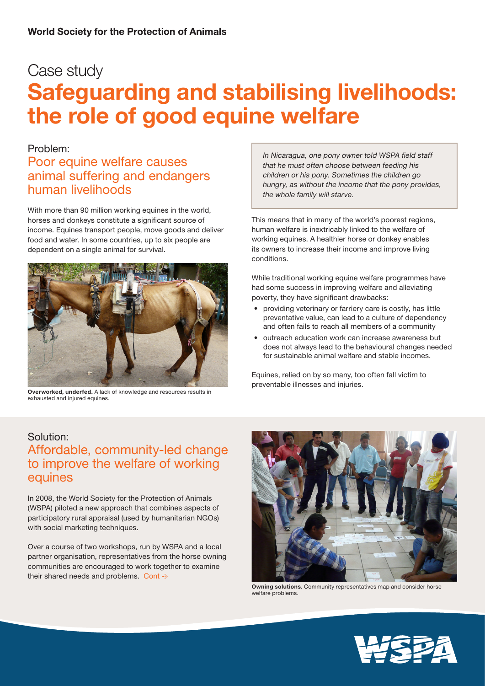# Case study Safeguarding and stabilising livelihoods: the role of good equine welfare

#### Problem:

### Poor equine welfare causes animal suffering and endangers human livelihoods

With more than 90 million working equines in the world, horses and donkeys constitute a significant source of income. Equines transport people, move goods and deliver food and water. In some countries, up to six people are dependent on a single animal for survival.



Overworked, underfed. A lack of knowledge and resources results in exhausted and injured equines.

In Nicaragua, one pony owner told WSPA field staff that he must often choose between feeding his children or his pony. Sometimes the children go hungry, as without the income that the pony provides, the whole family will starve.

This means that in many of the world's poorest regions, human welfare is inextricably linked to the welfare of working equines. A healthier horse or donkey enables its owners to increase their income and improve living conditions.

While traditional working equine welfare programmes have had some success in improving welfare and alleviating poverty, they have significant drawbacks:

- providing veterinary or farriery care is costly, has little preventative value, can lead to a culture of dependency and often fails to reach all members of a community
- outreach education work can increase awareness but does not always lead to the behavioural changes needed for sustainable animal welfare and stable incomes.

Equines, relied on by so many, too often fall victim to preventable illnesses and injuries.

#### Solution:

### Affordable, community-led change to improve the welfare of working equines

In 2008, the World Society for the Protection of Animals (WSPA) piloted a new approach that combines aspects of participatory rural appraisal (used by humanitarian NGOs) with social marketing techniques.

Over a course of two workshops, run by WSPA and a local partner organisation, representatives from the horse owning communities are encouraged to work together to examine their shared needs and problems. Cont  $\div$ 



Owning solutions. Community representatives map and consider horse welfare problems